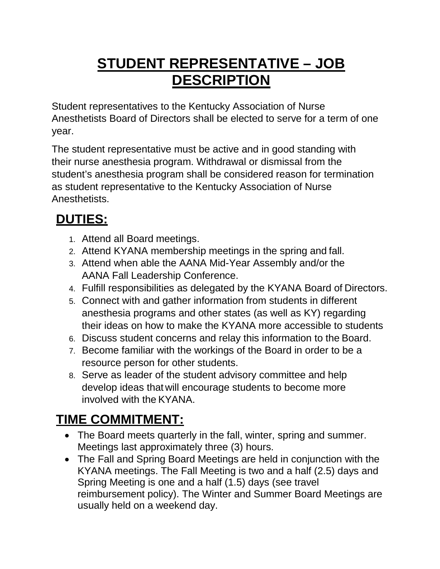## **STUDENT REPRESENTATIVE – JOB DESCRIPTION**

Student representatives to the Kentucky Association of Nurse Anesthetists Board of Directors shall be elected to serve for a term of one year.

The student representative must be active and in good standing with their nurse anesthesia program. Withdrawal or dismissal from the student's anesthesia program shall be considered reason for termination as student representative to the Kentucky Association of Nurse **Anesthetists** 

## **DUTIES:**

- 1. Attend all Board meetings.
- 2. Attend KYANA membership meetings in the spring and fall.
- 3. Attend when able the AANA Mid-Year Assembly and/or the AANA Fall Leadership Conference.
- 4. Fulfill responsibilities as delegated by the KYANA Board of Directors.
- 5. Connect with and gather information from students in different anesthesia programs and other states (as well as KY) regarding their ideas on how to make the KYANA more accessible to students
- 6. Discuss student concerns and relay this information to the Board.
- 7. Become familiar with the workings of the Board in order to be a resource person for other students.
- 8. Serve as leader of the student advisory committee and help develop ideas that will encourage students to become more involved with the KYANA.

## **TIME COMMITMENT:**

- The Board meets quarterly in the fall, winter, spring and summer. Meetings last approximately three (3) hours.
- The Fall and Spring Board Meetings are held in conjunction with the KYANA meetings. The Fall Meeting is two and a half (2.5) days and Spring Meeting is one and a half (1.5) days (see travel reimbursement policy). The Winter and Summer Board Meetings are usually held on a weekend day.